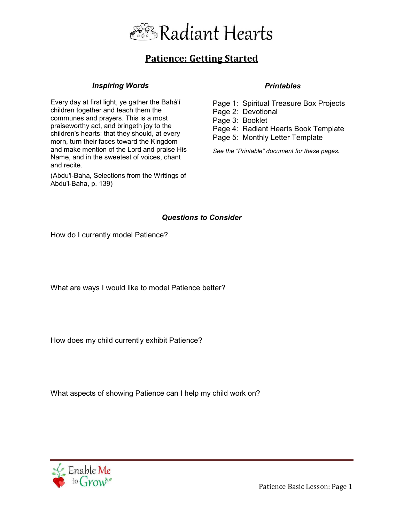

# **Patience: Getting Started**

#### *Inspiring Words*

Every day at first light, ye gather the Bahá'í children together and teach them the communes and prayers. This is a most praiseworthy act, and bringeth joy to the children's hearts: that they should, at every morn, turn their faces toward the Kingdom and make mention of the Lord and praise His Name, and in the sweetest of voices, chant and recite.

(Abdu'l-Baha, Selections from the Writings of Abdu'l-Baha, p. 139)

### *Printables*

Page 1: Spiritual Treasure Box Projects Page 2: Devotional Page 3: Booklet Page 4: Radiant Hearts Book Template Page 5: Monthly Letter Template

*See the "Printable" document for these pages.* 

## *Questions to Consider*

How do I currently model Patience?

What are ways I would like to model Patience better?

How does my child currently exhibit Patience?

What aspects of showing Patience can I help my child work on?



Patience Basic Lesson: Page 1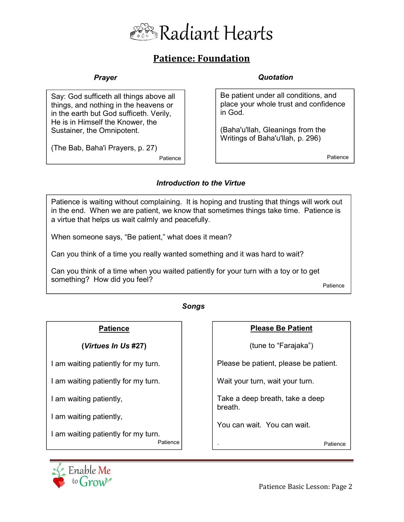

# **Patience: Foundation**

## *Prayer*

Say: God sufficeth all things above all things, and nothing in the heavens or in the earth but God sufficeth. Verily, He is in Himself the Knower, the Sustainer, the Omnipotent.

(The Bab, Baha'i Prayers, p. 27)

Patience **Patience** Patience

### *Quotation*

Be patient under all conditions, and place your whole trust and confidence in God.

(Baha'u'llah, Gleanings from the Writings of Baha'u'llah, p. 296)

## *Introduction to the Virtue*

Patience is waiting without complaining. It is hoping and trusting that things will work out in the end. When we are patient, we know that sometimes things take time. Patience is a virtue that helps us wait calmly and peacefully.

When someone says, "Be patient," what does it mean?

Can you think of a time you really wanted something and it was hard to wait?

Can you think of a time when you waited patiently for your turn with a toy or to get something? How did you feel?

Patience

#### *Songs*

## **Patience**

**(***Virtues In Us* **#27)** 

I am waiting patiently for my turn.

I am waiting patiently for my turn.

I am waiting patiently,

I am waiting patiently,

I am waiting patiently for my turn.

## **Please Be Patient**

(tune to "Farajaka")

Please be patient, please be patient.

Wait your turn, wait your turn.

Take a deep breath, take a deep breath.

You can wait. You can wait.

.

Patience Patience



Patience Basic Lesson: Page 2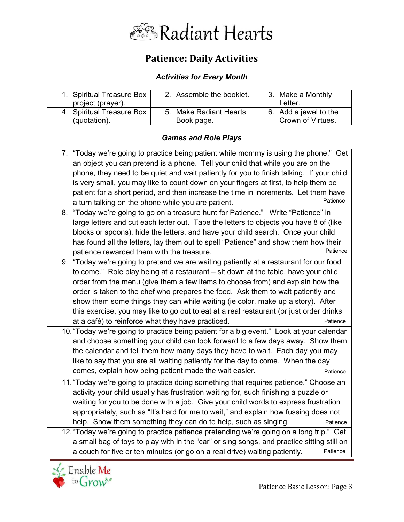

# **Patience: Daily Activities**

# *Activities for Every Month*

| 1. Spiritual Treasure Box | 2. Assemble the booklet. | 3. Make a Monthly     |
|---------------------------|--------------------------|-----------------------|
| project (prayer).         |                          | Letter.               |
| 4. Spiritual Treasure Box | 5. Make Radiant Hearts   | 6. Add a jewel to the |
| (quotation).              | Book page.               | Crown of Virtues.     |

## *Games and Role Plays*

| 7. "Today we're going to practice being patient while mommy is using the phone." Get       |
|--------------------------------------------------------------------------------------------|
| an object you can pretend is a phone. Tell your child that while you are on the            |
| phone, they need to be quiet and wait patiently for you to finish talking. If your child   |
| is very small, you may like to count down on your fingers at first, to help them be        |
| patient for a short period, and then increase the time in increments. Let them have        |
| Patience<br>a turn talking on the phone while you are patient.                             |
| 8. "Today we're going to go on a treasure hunt for Patience." Write "Patience" in          |
| large letters and cut each letter out. Tape the letters to objects you have 8 of (like     |
| blocks or spoons), hide the letters, and have your child search. Once your child           |
| has found all the letters, lay them out to spell "Patience" and show them how their        |
| Patience<br>patience rewarded them with the treasure.                                      |
| 9. "Today we're going to pretend we are waiting patiently at a restaurant for our food     |
| to come." Role play being at a restaurant – sit down at the table, have your child         |
| order from the menu (give them a few items to choose from) and explain how the             |
| order is taken to the chef who prepares the food. Ask them to wait patiently and           |
| show them some things they can while waiting (ie color, make up a story). After            |
| this exercise, you may like to go out to eat at a real restaurant (or just order drinks    |
| at a café) to reinforce what they have practiced.<br>Patience                              |
| 10. "Today we're going to practice being patient for a big event." Look at your calendar   |
| and choose something your child can look forward to a few days away. Show them             |
| the calendar and tell them how many days they have to wait. Each day you may               |
| like to say that you are all waiting patiently for the day to come. When the day           |
| comes, explain how being patient made the wait easier.<br>Patience                         |
| 11. "Today we're going to practice doing something that requires patience." Choose an      |
| activity your child usually has frustration waiting for, such finishing a puzzle or        |
| waiting for you to be done with a job. Give your child words to express frustration        |
| appropriately, such as "It's hard for me to wait," and explain how fussing does not        |
| help. Show them something they can do to help, such as singing.<br>Patience                |
| 12. "Today we're going to practice patience pretending we're going on a long trip." Get    |
| a small bag of toys to play with in the "car" or sing songs, and practice sitting still on |
| a couch for five or ten minutes (or go on a real drive) waiting patiently.<br>Patience     |